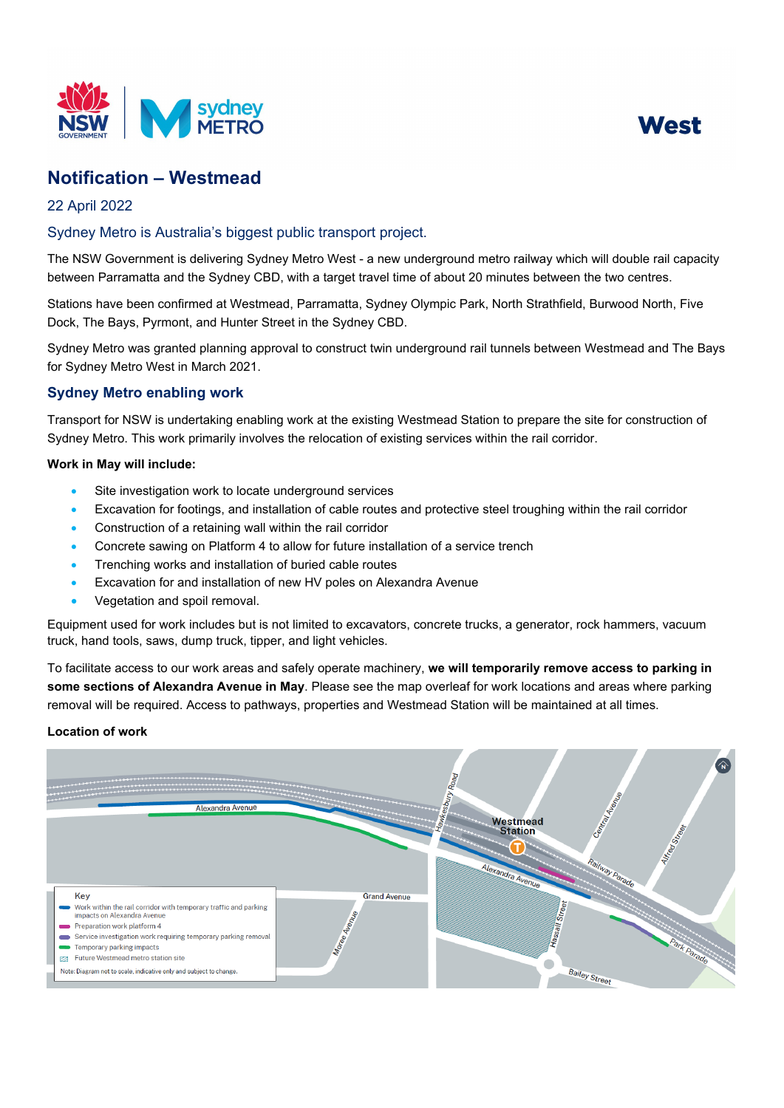



# **Notification – Westmead**

## 22 April 2022

## Sydney Metro is Australia's biggest public transport project.

The NSW Government is delivering Sydney Metro West - a new underground metro railway which will double rail capacity between Parramatta and the Sydney CBD, with a target travel time of about 20 minutes between the two centres.

Stations have been confirmed at Westmead, Parramatta, Sydney Olympic Park, North Strathfield, Burwood North, Five Dock, The Bays, Pyrmont, and Hunter Street in the Sydney CBD.

Sydney Metro was granted planning approval to construct twin underground rail tunnels between Westmead and The Bays for Sydney Metro West in March 2021.

## **Sydney Metro enabling work**

Transport for NSW is undertaking enabling work at the existing Westmead Station to prepare the site for construction of Sydney Metro. This work primarily involves the relocation of existing services within the rail corridor.

#### **Work in May will include:**

- Site investigation work to locate underground services
- Excavation for footings, and installation of cable routes and protective steel troughing within the rail corridor
- Construction of a retaining wall within the rail corridor
- Concrete sawing on Platform 4 to allow for future installation of a service trench
- Trenching works and installation of buried cable routes
- Excavation for and installation of new HV poles on Alexandra Avenue
- Vegetation and spoil removal.

Equipment used for work includes but is not limited to excavators, concrete trucks, a generator, rock hammers, vacuum truck, hand tools, saws, dump truck, tipper, and light vehicles.

To facilitate access to our work areas and safely operate machinery, **we will temporarily remove access to parking in some sections of Alexandra Avenue in May**. Please see the map overleaf for work locations and areas where parking removal will be required. Access to pathways, properties and Westmead Station will be maintained at all times.

#### **Location of work**